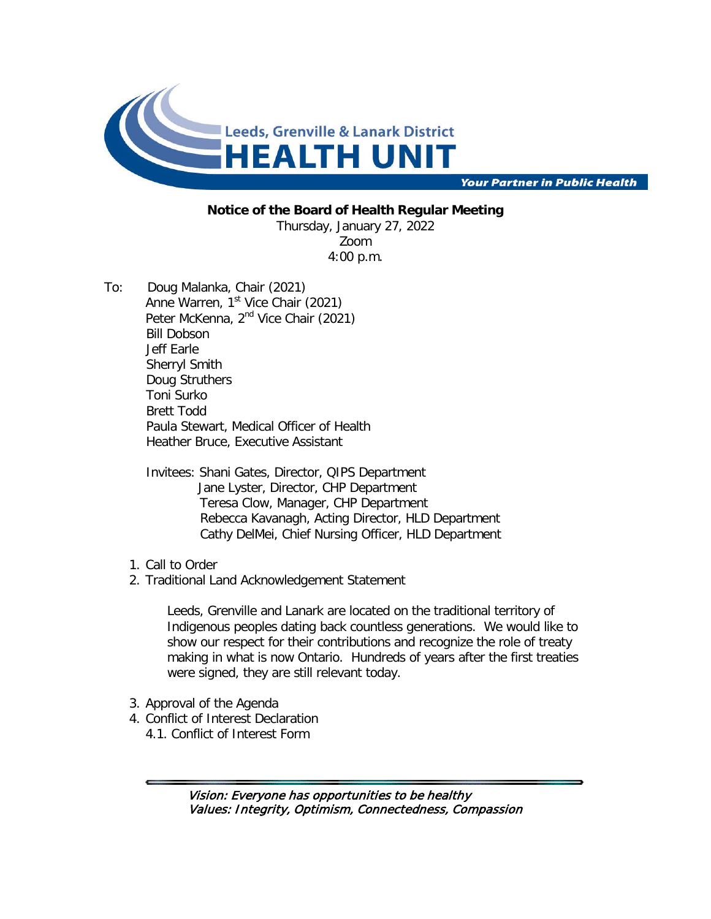

**Your Partner in Public Health** 

## **Notice of the Board of Health Regular Meeting**

Thursday, January 27, 2022 Zoom 4:00 p.m.

- To: Doug Malanka, Chair (2021) Anne Warren,  $1<sup>st</sup>$  Vice Chair (2021) Peter McKenna, 2<sup>nd</sup> Vice Chair (2021) Bill Dobson Jeff Earle Sherryl Smith Doug Struthers Toni Surko Brett Todd Paula Stewart, Medical Officer of Health Heather Bruce, Executive Assistant
	- Invitees: Shani Gates, Director, QIPS Department Jane Lyster, Director, CHP Department Teresa Clow, Manager, CHP Department Rebecca Kavanagh, Acting Director, HLD Department Cathy DelMei, Chief Nursing Officer, HLD Department
	- 1. Call to Order
	- 2. Traditional Land Acknowledgement Statement

Leeds, Grenville and Lanark are located on the traditional territory of Indigenous peoples dating back countless generations. We would like to show our respect for their contributions and recognize the role of treaty making in what is now Ontario. Hundreds of years after the first treaties were signed, they are still relevant today.

- 3. Approval of the Agenda
- 4. Conflict of Interest Declaration
	- 4.1. Conflict of Interest Form

Vision: Everyone has opportunities to be healthy Values: Integrity, Optimism, Connectedness, Compassion